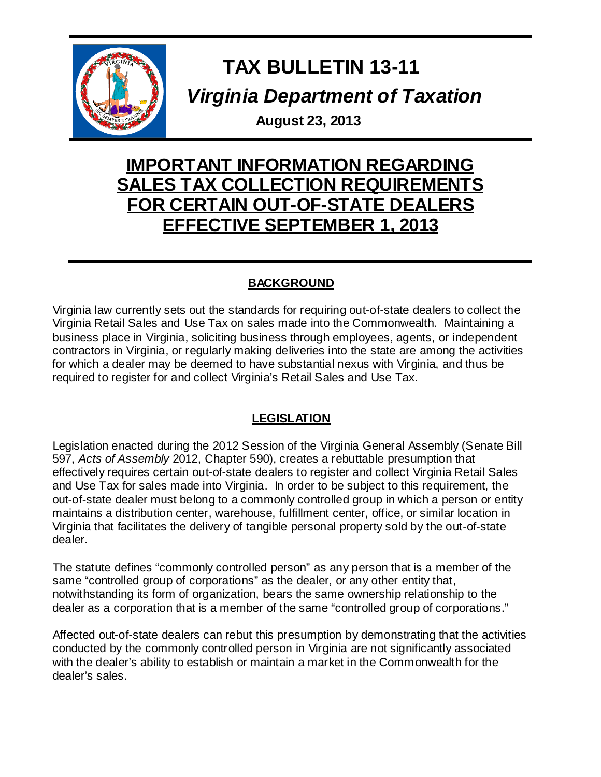

# **TAX BULLETIN 13-11** *Virginia Department of Taxation*

**August 23, 2013**

## **IMPORTANT INFORMATION REGARDING SALES TAX COLLECTION REQUIREMENTS FOR CERTAIN OUT-OF-STATE DEALERS EFFECTIVE SEPTEMBER 1, 2013**

### **BACKGROUND**

Virginia law currently sets out the standards for requiring out-of-state dealers to collect the Virginia Retail Sales and Use Tax on sales made into the Commonwealth. Maintaining a business place in Virginia, soliciting business through employees, agents, or independent contractors in Virginia, or regularly making deliveries into the state are among the activities for which a dealer may be deemed to have substantial nexus with Virginia, and thus be required to register for and collect Virginia's Retail Sales and Use Tax.

### **LEGISLATION**

Legislation enacted during the 2012 Session of the Virginia General Assembly (Senate Bill 597, *Acts of Assembly* 2012, Chapter 590), creates a rebuttable presumption that effectively requires certain out-of-state dealers to register and collect Virginia Retail Sales and Use Tax for sales made into Virginia. In order to be subject to this requirement, the out-of-state dealer must belong to a commonly controlled group in which a person or entity maintains a distribution center, warehouse, fulfillment center, office, or similar location in Virginia that facilitates the delivery of tangible personal property sold by the out-of-state dealer.

The statute defines "commonly controlled person" as any person that is a member of the same "controlled group of corporations" as the dealer, or any other entity that, notwithstanding its form of organization, bears the same ownership relationship to the dealer as a corporation that is a member of the same "controlled group of corporations."

Affected out-of-state dealers can rebut this presumption by demonstrating that the activities conducted by the commonly controlled person in Virginia are not significantly associated with the dealer's ability to establish or maintain a market in the Commonwealth for the dealer's sales.